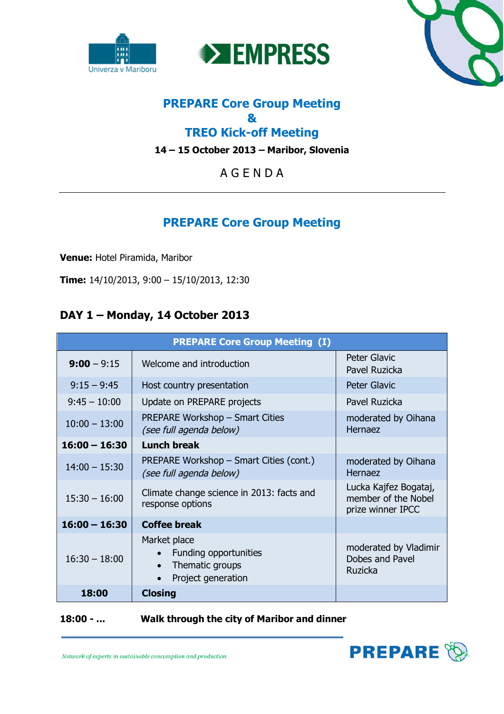





# **PREPARE Core Group Meeting & TREO Kick-off Meeting**

**14 – 15 October 2013 – Maribor, Slovenia**

A G E N D A

# **PREPARE Core Group Meeting**

**Venue:** Hotel Piramida, Maribor

**Time:** 14/10/2013, 9:00 – 15/10/2013, 12:30

# **DAY 1 – Monday, 14 October 2013**

| <b>PREPARE Core Group Meeting (I)</b> |                                                                                             |                                                                   |  |  |
|---------------------------------------|---------------------------------------------------------------------------------------------|-------------------------------------------------------------------|--|--|
| $9:00 - 9:15$                         | Welcome and introduction                                                                    | Peter Glavic<br>Pavel Ruzicka                                     |  |  |
| $9:15 - 9:45$                         | Host country presentation                                                                   | <b>Peter Glavic</b>                                               |  |  |
| $9:45 - 10:00$                        | Update on PREPARE projects                                                                  | Pavel Ruzicka                                                     |  |  |
| $10:00 - 13:00$                       | <b>PREPARE Workshop - Smart Cities</b><br>(see full agenda below)                           | moderated by Oihana<br>Hernaez                                    |  |  |
| $16:00 - 16:30$                       | <b>Lunch break</b>                                                                          |                                                                   |  |  |
| $14:00 - 15:30$                       | PREPARE Workshop – Smart Cities (cont.)<br>(see full agenda below)                          | moderated by Oihana<br>Hernaez                                    |  |  |
| $15:30 - 16:00$                       | Climate change science in 2013: facts and<br>response options                               | Lucka Kajfez Bogataj,<br>member of the Nobel<br>prize winner IPCC |  |  |
| $16:00 - 16:30$                       | <b>Coffee break</b>                                                                         |                                                                   |  |  |
| $16:30 - 18:00$                       | Market place<br>Funding opportunities<br>Thematic groups<br>$\bullet$<br>Project generation | moderated by Vladimir<br>Dobes and Pavel<br><b>Ruzicka</b>        |  |  |
| 18:00                                 | <b>Closing</b>                                                                              |                                                                   |  |  |

# **18:00 - ... Walk through the city of Maribor and dinner**

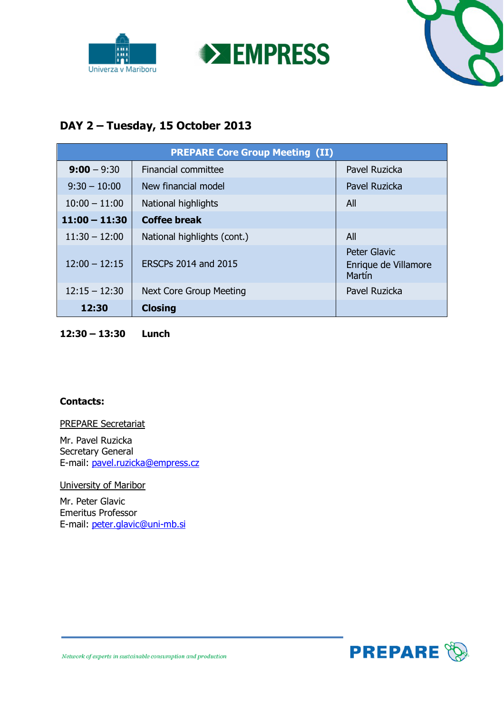





# **DAY 2 – Tuesday, 15 October 2013**

| <b>PREPARE Core Group Meeting (II)</b> |                                |                                                       |  |  |
|----------------------------------------|--------------------------------|-------------------------------------------------------|--|--|
| $9:00 - 9:30$                          | Financial committee            | Pavel Ruzicka                                         |  |  |
| $9:30 - 10:00$                         | New financial model            | Pavel Ruzicka                                         |  |  |
| $10:00 - 11:00$                        | National highlights            | All                                                   |  |  |
| $11:00 - 11:30$                        | <b>Coffee break</b>            |                                                       |  |  |
| $11:30 - 12:00$                        | National highlights (cont.)    | All                                                   |  |  |
| $12:00 - 12:15$                        | ERSCPs 2014 and 2015           | <b>Peter Glavic</b><br>Enrique de Villamore<br>Martín |  |  |
| $12:15 - 12:30$                        | <b>Next Core Group Meeting</b> | Pavel Ruzicka                                         |  |  |
| 12:30                                  | <b>Closing</b>                 |                                                       |  |  |

**12:30 – 13:30 Lunch**

## **Contacts:**

#### PREPARE Secretariat

Mr. Pavel Ruzicka Secretary General E-mail: pavel.ruzicka@empress.cz

University of Maribor

Mr. Peter Glavic Emeritus Professor E-mail: peter.glavic@uni-mb.si

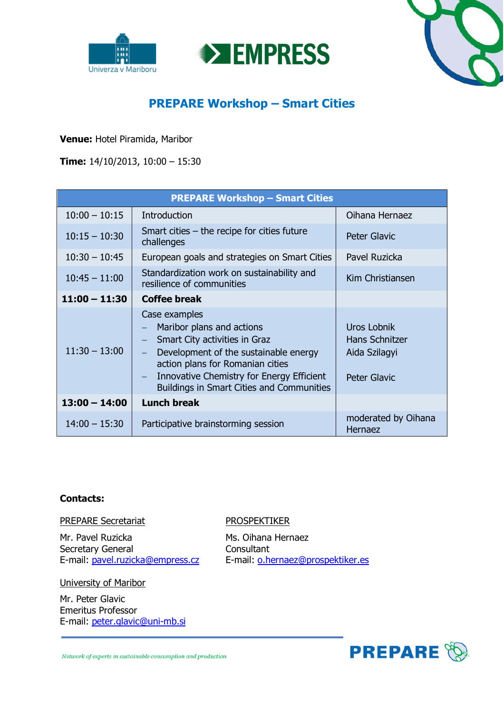





# **PREPARE Workshop – Smart Cities**

**Venue:** Hotel Piramida, Maribor

**Time:** 14/10/2013, 10:00 – 15:30

| <b>PREPARE Workshop - Smart Cities</b> |                                                                                                                                                                                                                                                                                       |                                                                       |  |  |
|----------------------------------------|---------------------------------------------------------------------------------------------------------------------------------------------------------------------------------------------------------------------------------------------------------------------------------------|-----------------------------------------------------------------------|--|--|
| $10:00 - 10:15$                        | Introduction                                                                                                                                                                                                                                                                          | Oihana Hernaez                                                        |  |  |
| $10:15 - 10:30$                        | Smart cities $-$ the recipe for cities future<br>challenges                                                                                                                                                                                                                           | <b>Peter Glavic</b>                                                   |  |  |
| $10:30 - 10:45$                        | European goals and strategies on Smart Cities                                                                                                                                                                                                                                         | Pavel Ruzicka                                                         |  |  |
| $10:45 - 11:00$                        | Standardization work on sustainability and<br>resilience of communities                                                                                                                                                                                                               | Kim Christiansen                                                      |  |  |
| $11:00 - 11:30$                        | <b>Coffee break</b>                                                                                                                                                                                                                                                                   |                                                                       |  |  |
| $11:30 - 13:00$                        | Case examples<br>Maribor plans and actions<br>Smart City activities in Graz<br>Development of the sustainable energy<br>action plans for Romanian cities<br>Innovative Chemistry for Energy Efficient<br>$\overline{\phantom{0}}$<br><b>Buildings in Smart Cities and Communities</b> | Uros Lobnik<br>Hans Schnitzer<br>Aida Szilagyi<br><b>Peter Glavic</b> |  |  |
| $13:00 - 14:00$                        | <b>Lunch break</b>                                                                                                                                                                                                                                                                    |                                                                       |  |  |
| $14:00 - 15:30$                        | Participative brainstorming session                                                                                                                                                                                                                                                   | moderated by Oihana<br>Hernaez                                        |  |  |

## **Contacts:**

#### PREPARE Secretariat PROSPEKTIKER

Mr. Pavel Ruzicka Ms. Oihana Hernaez Secretary General Consultant

University of Maribor

Mr. Peter Glavic Emeritus Professor E-mail: peter.glavic@uni-mb.si

E-mail: pavel.ruzicka@empress.cz E-mail: o.hernaez@prospektiker.es